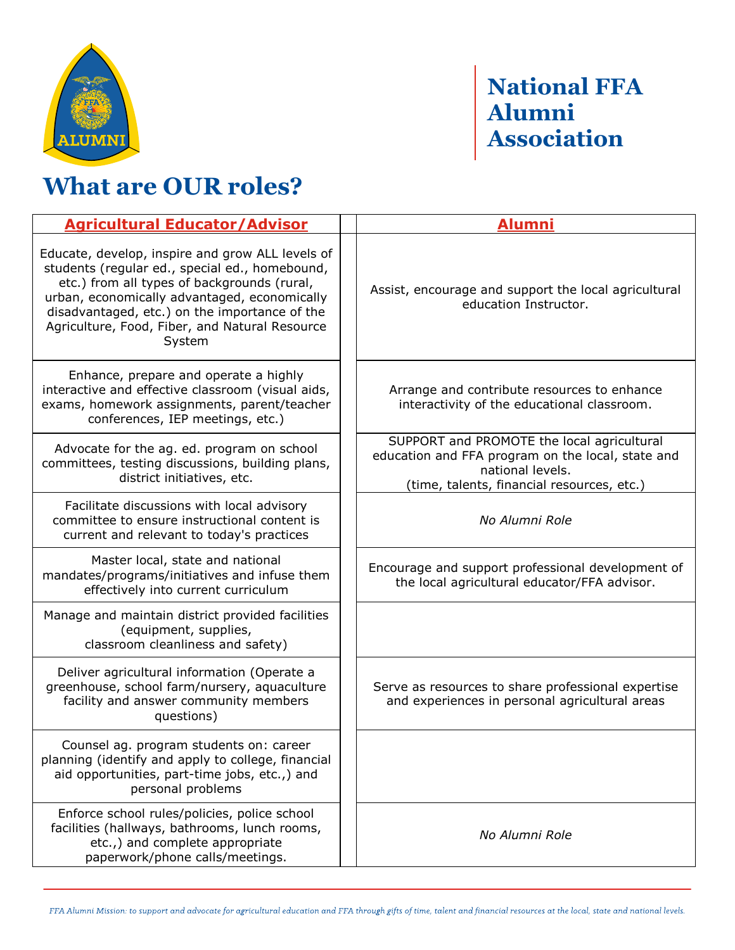

## **National FFA Alumni Association**

## **What are OUR roles?**

| <b>Agricultural Educator/Advisor</b>                                                                                                                                                                                                                                                                           | Alumni                                                                                                                                                            |
|----------------------------------------------------------------------------------------------------------------------------------------------------------------------------------------------------------------------------------------------------------------------------------------------------------------|-------------------------------------------------------------------------------------------------------------------------------------------------------------------|
| Educate, develop, inspire and grow ALL levels of<br>students (regular ed., special ed., homebound,<br>etc.) from all types of backgrounds (rural,<br>urban, economically advantaged, economically<br>disadvantaged, etc.) on the importance of the<br>Agriculture, Food, Fiber, and Natural Resource<br>System | Assist, encourage and support the local agricultural<br>education Instructor.                                                                                     |
| Enhance, prepare and operate a highly<br>interactive and effective classroom (visual aids,<br>exams, homework assignments, parent/teacher<br>conferences, IEP meetings, etc.)                                                                                                                                  | Arrange and contribute resources to enhance<br>interactivity of the educational classroom.                                                                        |
| Advocate for the ag. ed. program on school<br>committees, testing discussions, building plans,<br>district initiatives, etc.                                                                                                                                                                                   | SUPPORT and PROMOTE the local agricultural<br>education and FFA program on the local, state and<br>national levels.<br>(time, talents, financial resources, etc.) |
| Facilitate discussions with local advisory<br>committee to ensure instructional content is<br>current and relevant to today's practices                                                                                                                                                                        | No Alumni Role                                                                                                                                                    |
| Master local, state and national<br>mandates/programs/initiatives and infuse them<br>effectively into current curriculum                                                                                                                                                                                       | Encourage and support professional development of<br>the local agricultural educator/FFA advisor.                                                                 |
| Manage and maintain district provided facilities<br>(equipment, supplies,<br>classroom cleanliness and safety)                                                                                                                                                                                                 |                                                                                                                                                                   |
| Deliver agricultural information (Operate a<br>greenhouse, school farm/nursery, aquaculture<br>facility and answer community members<br>questions)                                                                                                                                                             | Serve as resources to share professional expertise<br>and experiences in personal agricultural areas                                                              |
| Counsel ag. program students on: career<br>planning (identify and apply to college, financial<br>aid opportunities, part-time jobs, etc.,) and<br>personal problems                                                                                                                                            |                                                                                                                                                                   |
| Enforce school rules/policies, police school<br>facilities (hallways, bathrooms, lunch rooms,<br>etc.,) and complete appropriate<br>paperwork/phone calls/meetings.                                                                                                                                            | No Alumni Role                                                                                                                                                    |